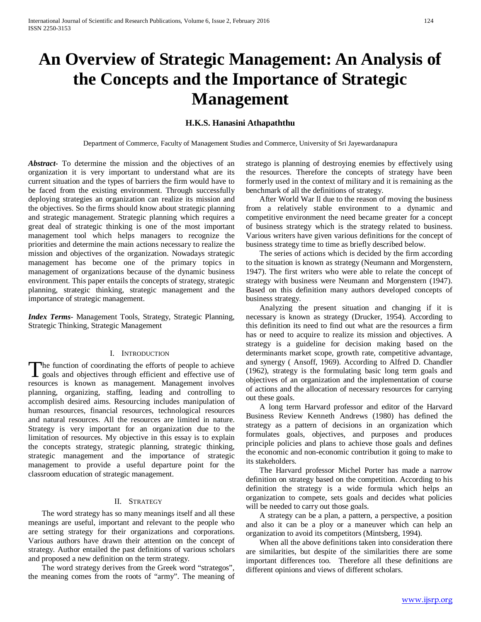# **An Overview of Strategic Management: An Analysis of the Concepts and the Importance of Strategic Management**

# **H.K.S. Hanasini Athapaththu**

Department of Commerce, Faculty of Management Studies and Commerce, University of Sri Jayewardanapura

*Abstract***-** To determine the mission and the objectives of an organization it is very important to understand what are its current situation and the types of barriers the firm would have to be faced from the existing environment. Through successfully deploying strategies an organization can realize its mission and the objectives. So the firms should know about strategic planning and strategic management. Strategic planning which requires a great deal of strategic thinking is one of the most important management tool which helps managers to recognize the priorities and determine the main actions necessary to realize the mission and objectives of the organization. Nowadays strategic management has become one of the primary topics in management of organizations because of the dynamic business environment. This paper entails the concepts of strategy, strategic planning, strategic thinking, strategic management and the importance of strategic management.

*Index Terms*- Management Tools, Strategy, Strategic Planning, Strategic Thinking, Strategic Management

## I. INTRODUCTION

he function of coordinating the efforts of people to achieve The function of coordinating the efforts of people to achieve<br>goals and objectives through efficient and effective use of resources is known as management. Management involves planning, organizing, staffing, leading and controlling to accomplish desired aims. Resourcing includes manipulation of human resources, financial resources, technological resources and natural resources. All the resources are limited in nature. Strategy is very important for an organization due to the limitation of resources. My objective in this essay is to explain the concepts strategy, strategic planning, strategic thinking, strategic management and the importance of strategic management to provide a useful departure point for the classroom education of strategic management.

## II. STRATEGY

 The word strategy has so many meanings itself and all these meanings are useful, important and relevant to the people who are setting strategy for their organizations and corporations. Various authors have drawn their attention on the concept of strategy. Author entailed the past definitions of various scholars and proposed a new definition on the term strategy.

 The word strategy derives from the Greek word "strategos", the meaning comes from the roots of "army". The meaning of stratego is planning of destroying enemies by effectively using the resources. Therefore the concepts of strategy have been formerly used in the context of military and it is remaining as the benchmark of all the definitions of strategy.

 After World War ll due to the reason of moving the business from a relatively stable environment to a dynamic and competitive environment the need became greater for a concept of business strategy which is the strategy related to business. Various writers have given various definitions for the concept of business strategy time to time as briefly described below.

 The series of actions which is decided by the firm according to the situation is known as strategy (Neumann and Morgenstern, 1947). The first writers who were able to relate the concept of strategy with business were Neumann and Morgenstern (1947). Based on this definition many authors developed concepts of business strategy.

 Analyzing the present situation and changing if it is necessary is known as strategy (Drucker, 1954). According to this definition its need to find out what are the resources a firm has or need to acquire to realize its mission and objectives. A strategy is a guideline for decision making based on the determinants market scope, growth rate, competitive advantage, and synergy ( Ansoff, 1969). According to Alfred D. Chandler (1962), strategy is the formulating basic long term goals and objectives of an organization and the implementation of course of actions and the allocation of necessary resources for carrying out these goals.

 A long term Harvard professor and editor of the Harvard Business Review Kenneth Andrews (1980) has defined the strategy as a pattern of decisions in an organization which formulates goals, objectives, and purposes and produces principle policies and plans to achieve those goals and defines the economic and non-economic contribution it going to make to its stakeholders.

 The Harvard professor Michel Porter has made a narrow definition on strategy based on the competition. According to his definition the strategy is a wide formula which helps an organization to compete, sets goals and decides what policies will be needed to carry out those goals.

 A strategy can be a plan, a pattern, a perspective, a position and also it can be a ploy or a maneuver which can help an organization to avoid its competitors (Mintsberg, 1994).

 When all the above definitions taken into consideration there are similarities, but despite of the similarities there are some important differences too. Therefore all these definitions are different opinions and views of different scholars.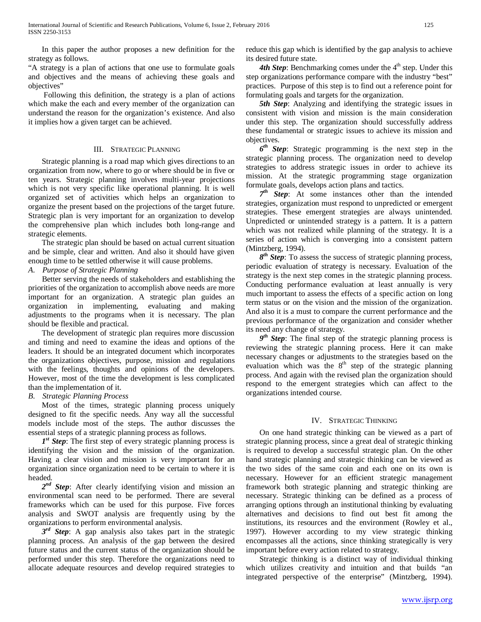In this paper the author proposes a new definition for the strategy as follows.

"A strategy is a plan of actions that one use to formulate goals and objectives and the means of achieving these goals and objectives"

 Following this definition, the strategy is a plan of actions which make the each and every member of the organization can understand the reason for the organization's existence. And also it implies how a given target can be achieved.

## III. STRATEGIC PLANNING

 Strategic planning is a road map which gives directions to an organization from now, where to go or where should be in five or ten years. Strategic planning involves multi-year projections which is not very specific like operational planning. It is well organized set of activities which helps an organization to organize the present based on the projections of the target future. Strategic plan is very important for an organization to develop the comprehensive plan which includes both long-range and strategic elements.

 The strategic plan should be based on actual current situation and be simple, clear and written. And also it should have given enough time to be settled otherwise it will cause problems.

*A. Purpose of Strategic Planning*

 Better serving the needs of stakeholders and establishing the priorities of the organization to accomplish above needs are more important for an organization. A strategic plan guides an organization in implementing, evaluating and making adjustments to the programs when it is necessary. The plan should be flexible and practical.

 The development of strategic plan requires more discussion and timing and need to examine the ideas and options of the leaders. It should be an integrated document which incorporates the organizations objectives, purpose, mission and regulations with the feelings, thoughts and opinions of the developers. However, most of the time the development is less complicated than the implementation of it.

## *B. Strategic Planning Process*

 Most of the times, strategic planning process uniquely designed to fit the specific needs. Any way all the successful models include most of the steps. The author discusses the essential steps of a strategic planning process as follows.

 *1st Step*: The first step of every strategic planning process is identifying the vision and the mission of the organization. Having a clear vision and mission is very important for an organization since organization need to be certain to where it is headed.

 *2nd Step*: After clearly identifying vision and mission an environmental scan need to be performed. There are several frameworks which can be used for this purpose. Five forces analysis and SWOT analysis are frequently using by the organizations to perform environmental analysis.

 *3rd Step*: A gap analysis also takes part in the strategic planning process. An analysis of the gap between the desired future status and the current status of the organization should be performed under this step. Therefore the organizations need to allocate adequate resources and develop required strategies to

reduce this gap which is identified by the gap analysis to achieve its desired future state.

4th Step: Benchmarking comes under the 4<sup>th</sup> step. Under this step organizations performance compare with the industry "best" practices. Purpose of this step is to find out a reference point for formulating goals and targets for the organization.

 *5th Step*: Analyzing and identifying the strategic issues in consistent with vision and mission is the main consideration under this step. The organization should successfully address these fundamental or strategic issues to achieve its mission and objectives.

 *6th Step*: Strategic programming is the next step in the strategic planning process. The organization need to develop strategies to address strategic issues in order to achieve its mission. At the strategic programming stage organization formulate goals, develops action plans and tactics.

 *7th Step*: At some instances other than the intended strategies, organization must respond to unpredicted or emergent strategies. These emergent strategies are always unintended. Unpredicted or unintended strategy is a pattern. It is a pattern which was not realized while planning of the strategy. It is a series of action which is converging into a consistent pattern (Mintzberg, 1994).

 *8th Step*: To assess the success of strategic planning process, periodic evaluation of strategy is necessary. Evaluation of the strategy is the next step comes in the strategic planning process. Conducting performance evaluation at least annually is very much important to assess the effects of a specific action on long term status or on the vision and the mission of the organization. And also it is a must to compare the current performance and the previous performance of the organization and consider whether its need any change of strategy.

 *9th Step*: The final step of the strategic planning process is reviewing the strategic planning process. Here it can make necessary changes or adjustments to the strategies based on the evaluation which was the  $8<sup>th</sup>$  step of the strategic planning process. And again with the revised plan the organization should respond to the emergent strategies which can affect to the organizations intended course.

### IV. STRATEGIC THINKING

 On one hand strategic thinking can be viewed as a part of strategic planning process, since a great deal of strategic thinking is required to develop a successful strategic plan. On the other hand strategic planning and strategic thinking can be viewed as the two sides of the same coin and each one on its own is necessary. However for an efficient strategic management framework both strategic planning and strategic thinking are necessary. Strategic thinking can be defined as a process of arranging options through an institutional thinking by evaluating alternatives and decisions to find out best fit among the institutions, its resources and the environment (Rowley et al., 1997). However according to my view strategic thinking encompasses all the actions, since thinking strategically is very important before every action related to strategy.

 Strategic thinking is a distinct way of individual thinking which utilizes creativity and intuition and that builds "an integrated perspective of the enterprise" (Mintzberg, 1994).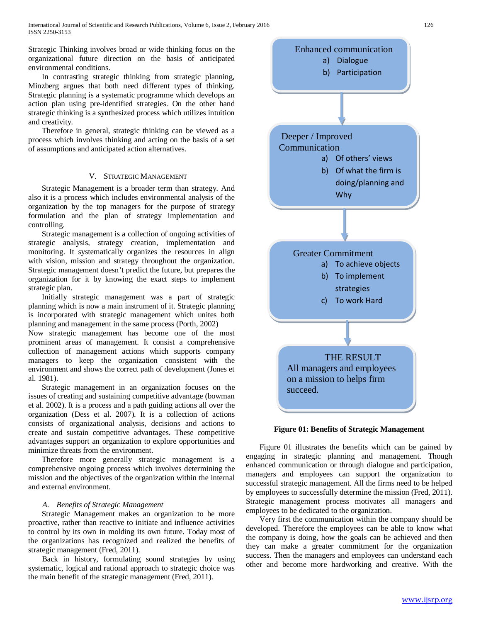Strategic Thinking involves broad or wide thinking focus on the organizational future direction on the basis of anticipated environmental conditions.

 In contrasting strategic thinking from strategic planning, Minzberg argues that both need different types of thinking. Strategic planning is a systematic programme which develops an action plan using pre-identified strategies. On the other hand strategic thinking is a synthesized process which utilizes intuition and creativity.

 Therefore in general, strategic thinking can be viewed as a process which involves thinking and acting on the basis of a set of assumptions and anticipated action alternatives.

## V. STRATEGIC MANAGEMENT

 Strategic Management is a broader term than strategy. And also it is a process which includes environmental analysis of the organization by the top managers for the purpose of strategy formulation and the plan of strategy implementation and controlling.

 Strategic management is a collection of ongoing activities of strategic analysis, strategy creation, implementation and monitoring. It systematically organizes the resources in align with vision, mission and strategy throughout the organization. Strategic management doesn't predict the future, but prepares the organization for it by knowing the exact steps to implement strategic plan.

 Initially strategic management was a part of strategic planning which is now a main instrument of it. Strategic planning is incorporated with strategic management which unites both planning and management in the same process (Porth, 2002)

Now strategic management has become one of the most prominent areas of management. It consist a comprehensive collection of management actions which supports company managers to keep the organization consistent with the environment and shows the correct path of development (Jones et al. 1981).

 Strategic management in an organization focuses on the issues of creating and sustaining competitive advantage (bowman et al. 2002). It is a process and a path guiding actions all over the organization (Dess et al. 2007). It is a collection of actions consists of organizational analysis, decisions and actions to create and sustain competitive advantages. These competitive advantages support an organization to explore opportunities and minimize threats from the environment.

 Therefore more generally strategic management is a comprehensive ongoing process which involves determining the mission and the objectives of the organization within the internal and external environment.

## *A. Benefits of Strategic Management*

 Strategic Management makes an organization to be more proactive, rather than reactive to initiate and influence activities to control by its own in molding its own future. Today most of the organizations has recognized and realized the benefits of strategic management (Fred, 2011).

 Back in history, formulating sound strategies by using systematic, logical and rational approach to strategic choice was the main benefit of the strategic management (Fred, 2011).



**Figure 01: Benefits of Strategic Management**

 Figure 01 illustrates the benefits which can be gained by engaging in strategic planning and management. Though enhanced communication or through dialogue and participation, managers and employees can support the organization to successful strategic management. All the firms need to be helped by employees to successfully determine the mission (Fred, 2011). Strategic management process motivates all managers and employees to be dedicated to the organization.

 Very first the communication within the company should be developed. Therefore the employees can be able to know what the company is doing, how the goals can be achieved and then they can make a greater commitment for the organization success. Then the managers and employees can understand each other and become more hardworking and creative. With the